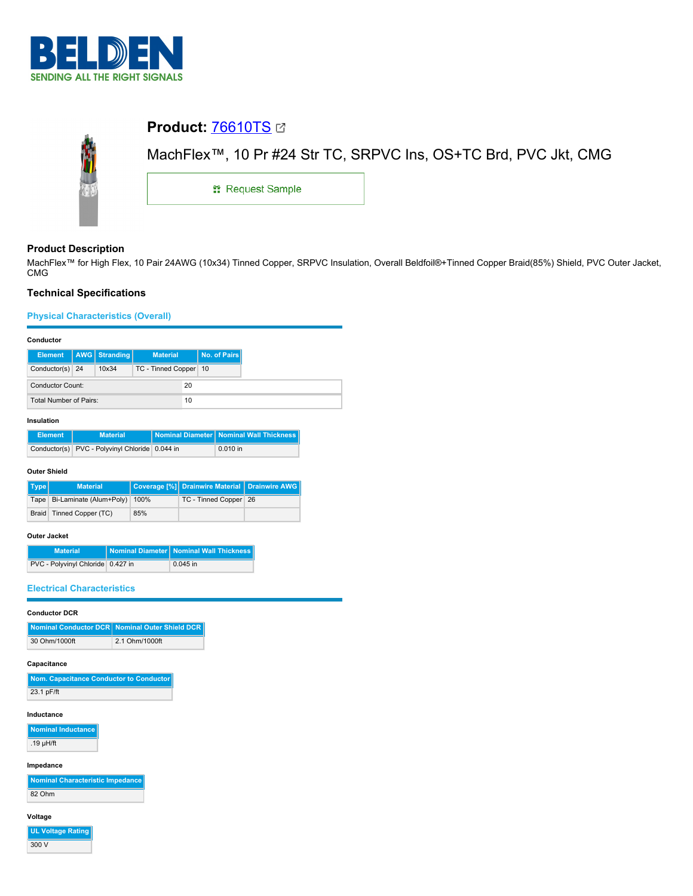

# **Product:** [76610TS](https://catalog.belden.com/index.cfm?event=pd&p=PF_76610TS&tab=downloads) MachFlex™, 10 Pr #24 Str TC, SRPVC Ins, OS+TC Brd, PVC Jkt, CMG **::** Request Sample

# **Product Description**

MachFlex™ for High Flex, 10 Pair 24AWG (10x34) Tinned Copper, SRPVC Insulation, Overall Beldfoil®+Tinned Copper Braid(85%) Shield, PVC Outer Jacket, CMG

# **Technical Specifications**

## **Physical Characteristics (Overall)**

#### **Conductor**

| <b>Element</b>         | AWG Stranding | <b>Material</b>         | No. of Pairs |
|------------------------|---------------|-------------------------|--------------|
| Conductor(s) 24        | 10x34         | TC - Tinned Copper   10 |              |
| Conductor Count:       |               | 20                      |              |
| Total Number of Pairs: |               | 10                      |              |

#### **Insulation**

| <b>Element</b> | <b>Material</b>                                | Nominal Diameter Nominal Wall Thickness |
|----------------|------------------------------------------------|-----------------------------------------|
|                | Conductor(s) PVC - Polyvinyl Chloride 0.044 in | $0.010$ in                              |

#### **Outer Shield**

| Type | <b>Material</b>                       |     | Coverage [%] Drainwire Material   Drainwire AWG |  |
|------|---------------------------------------|-----|-------------------------------------------------|--|
|      | Tape   Bi-Laminate (Alum+Poly)   100% |     | TC - Tinned Copper 26                           |  |
|      | Braid   Tinned Copper (TC)            | 85% |                                                 |  |

#### **Outer Jacket**

| <b>Material</b>                   | Nominal Diameter Nominal Wall Thickness |
|-----------------------------------|-----------------------------------------|
| PVC - Polyvinyl Chloride 0.427 in | $0.045$ in                              |

## **Electrical Characteristics**

# **Conductor DCR**

|               | Nominal Conductor DCR Nominal Outer Shield DCR |
|---------------|------------------------------------------------|
| 30 Ohm/1000ft | 2.1 Ohm/1000ft                                 |

## **Capacitance**

| Nom. Capacitance Conductor to Conductor |
|-----------------------------------------|
| 23.1 pF/ft                              |

## **Inductance**

**Nominal Inductance** .19 µH/ft

## **Impedance**

| Nominal Characteristic Impedance |
|----------------------------------|
| 82 Ohm                           |

#### **Voltage**

**UL Voltage Rating** 300 V